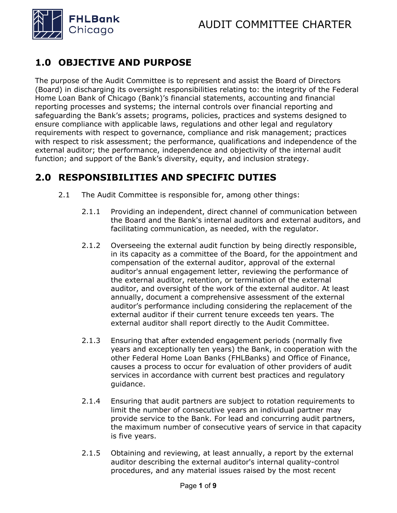

## **1.0 OBJECTIVE AND PURPOSE**

The purpose of the Audit Committee is to represent and assist the Board of Directors (Board) in discharging its oversight responsibilities relating to: the integrity of the Federal Home Loan Bank of Chicago (Bank)'s financial statements, accounting and financial reporting processes and systems; the internal controls over financial reporting and safeguarding the Bank's assets; programs, policies, practices and systems designed to ensure compliance with applicable laws, regulations and other legal and regulatory requirements with respect to governance, compliance and risk management; practices with respect to risk assessment; the performance, qualifications and independence of the external auditor; the performance, independence and objectivity of the internal audit function; and support of the Bank's diversity, equity, and inclusion strategy.

## **2.0 RESPONSIBILITIES AND SPECIFIC DUTIES**

- 2.1 The Audit Committee is responsible for, among other things:
	- 2.1.1 Providing an independent, direct channel of communication between the Board and the Bank's internal auditors and external auditors, and facilitating communication, as needed, with the regulator.
	- 2.1.2 Overseeing the external audit function by being directly responsible, in its capacity as a committee of the Board, for the appointment and compensation of the external auditor, approval of the external auditor's annual engagement letter, reviewing the performance of the external auditor, retention, or termination of the external auditor, and oversight of the work of the external auditor. At least annually, document a comprehensive assessment of the external auditor's performance including considering the replacement of the external auditor if their current tenure exceeds ten years. The external auditor shall report directly to the Audit Committee.
	- 2.1.3 Ensuring that after extended engagement periods (normally five years and exceptionally ten years) the Bank, in cooperation with the other Federal Home Loan Banks (FHLBanks) and Office of Finance, causes a process to occur for evaluation of other providers of audit services in accordance with current best practices and regulatory guidance.
	- 2.1.4 Ensuring that audit partners are subject to rotation requirements to limit the number of consecutive years an individual partner may provide service to the Bank. For lead and concurring audit partners, the maximum number of consecutive years of service in that capacity is five years.
	- 2.1.5 Obtaining and reviewing, at least annually, a report by the external auditor describing the external auditor's internal quality-control procedures, and any material issues raised by the most recent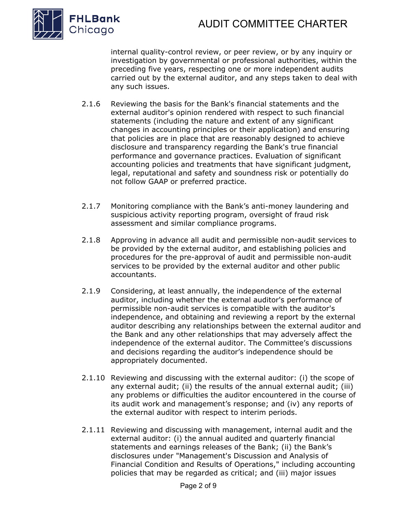

internal quality-control review, or peer review, or by any inquiry or investigation by governmental or professional authorities, within the preceding five years, respecting one or more independent audits carried out by the external auditor, and any steps taken to deal with any such issues.

- 2.1.6 Reviewing the basis for the Bank's financial statements and the external auditor's opinion rendered with respect to such financial statements (including the nature and extent of any significant changes in accounting principles or their application) and ensuring that policies are in place that are reasonably designed to achieve disclosure and transparency regarding the Bank's true financial performance and governance practices. Evaluation of significant accounting policies and treatments that have significant judgment, legal, reputational and safety and soundness risk or potentially do not follow GAAP or preferred practice.
- 2.1.7 Monitoring compliance with the Bank's anti-money laundering and suspicious activity reporting program, oversight of fraud risk assessment and similar compliance programs.
- 2.1.8 Approving in advance all audit and permissible non-audit services to be provided by the external auditor, and establishing policies and procedures for the pre-approval of audit and permissible non-audit services to be provided by the external auditor and other public accountants.
- 2.1.9 Considering, at least annually, the independence of the external auditor, including whether the external auditor's performance of permissible non-audit services is compatible with the auditor's independence, and obtaining and reviewing a report by the external auditor describing any relationships between the external auditor and the Bank and any other relationships that may adversely affect the independence of the external auditor. The Committee's discussions and decisions regarding the auditor's independence should be appropriately documented.
- 2.1.10 Reviewing and discussing with the external auditor: (i) the scope of any external audit; (ii) the results of the annual external audit; (iii) any problems or difficulties the auditor encountered in the course of its audit work and management's response; and (iv) any reports of the external auditor with respect to interim periods.
- 2.1.11 Reviewing and discussing with management, internal audit and the external auditor: (i) the annual audited and quarterly financial statements and earnings releases of the Bank; (ii) the Bank's disclosures under "Management's Discussion and Analysis of Financial Condition and Results of Operations," including accounting policies that may be regarded as critical; and (iii) major issues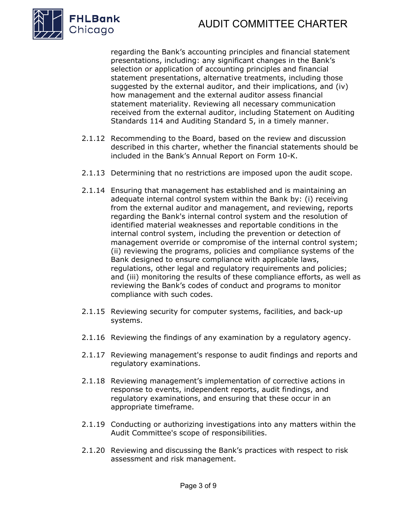



regarding the Bank's accounting principles and financial statement presentations, including: any significant changes in the Bank's selection or application of accounting principles and financial statement presentations, alternative treatments, including those suggested by the external auditor, and their implications, and (iv) how management and the external auditor assess financial statement materiality. Reviewing all necessary communication received from the external auditor, including Statement on Auditing Standards 114 and Auditing Standard 5, in a timely manner.

- 2.1.12 Recommending to the Board, based on the review and discussion described in this charter, whether the financial statements should be included in the Bank's Annual Report on Form 10-K.
- 2.1.13 Determining that no restrictions are imposed upon the audit scope.
- 2.1.14 Ensuring that management has established and is maintaining an adequate internal control system within the Bank by: (i) receiving from the external auditor and management, and reviewing, reports regarding the Bank's internal control system and the resolution of identified material weaknesses and reportable conditions in the internal control system, including the prevention or detection of management override or compromise of the internal control system; (ii) reviewing the programs, policies and compliance systems of the Bank designed to ensure compliance with applicable laws, regulations, other legal and regulatory requirements and policies; and (iii) monitoring the results of these compliance efforts, as well as reviewing the Bank's codes of conduct and programs to monitor compliance with such codes.
- 2.1.15 Reviewing security for computer systems, facilities, and back-up systems.
- 2.1.16 Reviewing the findings of any examination by a regulatory agency.
- 2.1.17 Reviewing management's response to audit findings and reports and regulatory examinations.
- 2.1.18 Reviewing management's implementation of corrective actions in response to events, independent reports, audit findings, and regulatory examinations, and ensuring that these occur in an appropriate timeframe.
- 2.1.19 Conducting or authorizing investigations into any matters within the Audit Committee's scope of responsibilities.
- 2.1.20 Reviewing and discussing the Bank's practices with respect to risk assessment and risk management.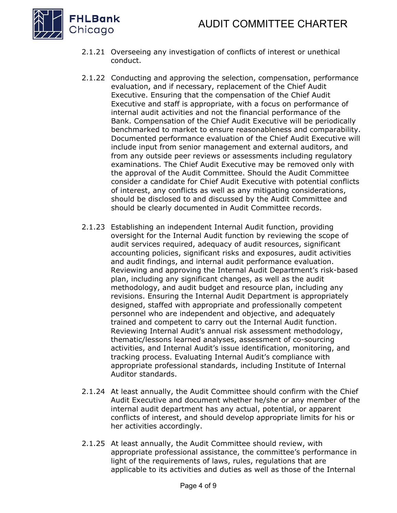

- 2.1.21 Overseeing any investigation of conflicts of interest or unethical conduct.
- 2.1.22 Conducting and approving the selection, compensation, performance evaluation, and if necessary, replacement of the Chief Audit Executive. Ensuring that the compensation of the Chief Audit Executive and staff is appropriate, with a focus on performance of internal audit activities and not the financial performance of the Bank. Compensation of the Chief Audit Executive will be periodically benchmarked to market to ensure reasonableness and comparability. Documented performance evaluation of the Chief Audit Executive will include input from senior management and external auditors, and from any outside peer reviews or assessments including regulatory examinations. The Chief Audit Executive may be removed only with the approval of the Audit Committee. Should the Audit Committee consider a candidate for Chief Audit Executive with potential conflicts of interest, any conflicts as well as any mitigating considerations, should be disclosed to and discussed by the Audit Committee and should be clearly documented in Audit Committee records.
- 2.1.23 Establishing an independent Internal Audit function, providing oversight for the Internal Audit function by reviewing the scope of audit services required, adequacy of audit resources, significant accounting policies, significant risks and exposures, audit activities and audit findings, and internal audit performance evaluation. Reviewing and approving the Internal Audit Department's risk-based plan, including any significant changes, as well as the audit methodology, and audit budget and resource plan, including any revisions. Ensuring the Internal Audit Department is appropriately designed, staffed with appropriate and professionally competent personnel who are independent and objective, and adequately trained and competent to carry out the Internal Audit function. Reviewing Internal Audit's annual risk assessment methodology, thematic/lessons learned analyses, assessment of co-sourcing activities, and Internal Audit's issue identification, monitoring, and tracking process. Evaluating Internal Audit's compliance with appropriate professional standards, including Institute of Internal Auditor standards.
- 2.1.24 At least annually, the Audit Committee should confirm with the Chief Audit Executive and document whether he/she or any member of the internal audit department has any actual, potential, or apparent conflicts of interest, and should develop appropriate limits for his or her activities accordingly.
- 2.1.25 At least annually, the Audit Committee should review, with appropriate professional assistance, the committee's performance in light of the requirements of laws, rules, regulations that are applicable to its activities and duties as well as those of the Internal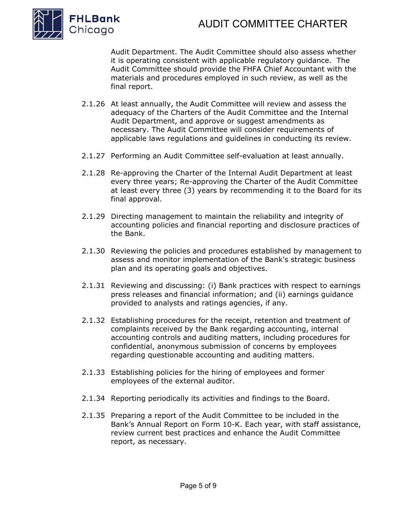

Audit Department. The Audit Committee should also assess whether it is operating consistent with applicable regulatory guidance. The Audit Committee should provide the FHFA Chief Accountant with the materials and procedures employed in such review, as well as the final report.

- 2.1.26 At least annually, the Audit Committee will review and assess the adequacy of the Charters of the Audit Committee and the Internal Audit Department, and approve or suggest amendments as necessary. The Audit Committee will consider requirements of applicable laws regulations and guidelines in conducting its review.
- 2.1.27 Performing an Audit Committee self-evaluation at least annually.
- 2.1.28 Re-approving the Charter of the Internal Audit Department at least every three years; Re-approving the Charter of the Audit Committee at least every three (3) years by recommending it to the Board for its final approval.
- 2.1.29 Directing management to maintain the reliability and integrity of accounting policies and financial reporting and disclosure practices of the Bank.
- 2.1.30 Reviewing the policies and procedures established by management to assess and monitor implementation of the Bank's strategic business plan and its operating goals and objectives.
- 2.1.31 Reviewing and discussing: (i) Bank practices with respect to earnings press releases and financial information; and (ii) earnings guidance provided to analysts and ratings agencies, if any.
- 2.1.32 Establishing procedures for the receipt, retention and treatment of complaints received by the Bank regarding accounting, internal accounting controls and auditing matters, including procedures for confidential, anonymous submission of concerns by employees regarding questionable accounting and auditing matters.
- 2.1.33 Establishing policies for the hiring of employees and former employees of the external auditor.
- 2.1.34 Reporting periodically its activities and findings to the Board.
- 2.1.35 Preparing a report of the Audit Committee to be included in the Bank's Annual Report on Form 10-K. Each year, with staff assistance, review current best practices and enhance the Audit Committee report, as necessary.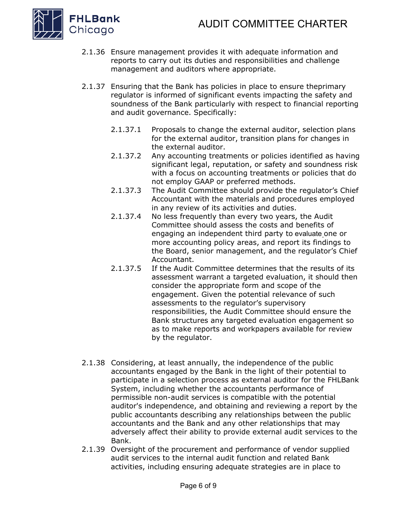

- 2.1.36 Ensure management provides it with adequate information and reports to carry out its duties and responsibilities and challenge management and auditors where appropriate.
- 2.1.37 Ensuring that the Bank has policies in place to ensure theprimary regulator is informed of significant events impacting the safety and soundness of the Bank particularly with respect to financial reporting and audit governance. Specifically:
	- 2.1.37.1 Proposals to change the external auditor, selection plans for the external auditor, transition plans for changes in the external auditor.
	- 2.1.37.2 Any accounting treatments or policies identified as having significant legal, reputation, or safety and soundness risk with a focus on accounting treatments or policies that do not employ GAAP or preferred methods.
	- 2.1.37.3 The Audit Committee should provide the regulator's Chief Accountant with the materials and procedures employed in any review of its activities and duties.
	- 2.1.37.4 No less frequently than every two years, the Audit Committee should assess the costs and benefits of engaging an independent third party to evaluate one or more accounting policy areas, and report its findings to the Board, senior management, and the regulator's Chief Accountant.
	- 2.1.37.5 If the Audit Committee determines that the results of its assessment warrant a targeted evaluation, it should then consider the appropriate form and scope of the engagement. Given the potential relevance of such assessments to the regulator's supervisory responsibilities, the Audit Committee should ensure the Bank structures any targeted evaluation engagement so as to make reports and workpapers available for review by the regulator.
- 2.1.38 Considering, at least annually, the independence of the public accountants engaged by the Bank in the light of their potential to participate in a selection process as external auditor for the FHLBank System, including whether the accountants performance of permissible non-audit services is compatible with the potential auditor's independence, and obtaining and reviewing a report by the public accountants describing any relationships between the public accountants and the Bank and any other relationships that may adversely affect their ability to provide external audit services to the Bank.
- 2.1.39 Oversight of the procurement and performance of vendor supplied audit services to the internal audit function and related Bank activities, including ensuring adequate strategies are in place to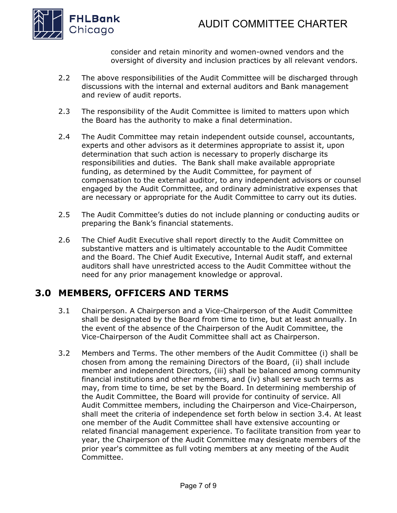



consider and retain minority and women-owned vendors and the oversight of diversity and inclusion practices by all relevant vendors.

- 2.2 The above responsibilities of the Audit Committee will be discharged through discussions with the internal and external auditors and Bank management and review of audit reports.
- 2.3 The responsibility of the Audit Committee is limited to matters upon which the Board has the authority to make a final determination.
- 2.4 The Audit Committee may retain independent outside counsel, accountants, experts and other advisors as it determines appropriate to assist it, upon determination that such action is necessary to properly discharge its responsibilities and duties. The Bank shall make available appropriate funding, as determined by the Audit Committee, for payment of compensation to the external auditor, to any independent advisors or counsel engaged by the Audit Committee, and ordinary administrative expenses that are necessary or appropriate for the Audit Committee to carry out its duties.
- 2.5 The Audit Committee's duties do not include planning or conducting audits or preparing the Bank's financial statements.
- 2.6 The Chief Audit Executive shall report directly to the Audit Committee on substantive matters and is ultimately accountable to the Audit Committee and the Board. The Chief Audit Executive, Internal Audit staff, and external auditors shall have unrestricted access to the Audit Committee without the need for any prior management knowledge or approval.

### **3.0 MEMBERS, OFFICERS AND TERMS**

- 3.1 Chairperson. A Chairperson and a Vice-Chairperson of the Audit Committee shall be designated by the Board from time to time, but at least annually. In the event of the absence of the Chairperson of the Audit Committee, the Vice-Chairperson of the Audit Committee shall act as Chairperson.
- 3.2 Members and Terms. The other members of the Audit Committee (i) shall be chosen from among the remaining Directors of the Board, (ii) shall include member and independent Directors, (iii) shall be balanced among community financial institutions and other members, and (iv) shall serve such terms as may, from time to time, be set by the Board. In determining membership of the Audit Committee, the Board will provide for continuity of service. All Audit Committee members, including the Chairperson and Vice-Chairperson, shall meet the criteria of independence set forth below in section 3.4. At least one member of the Audit Committee shall have extensive accounting or related financial management experience. To facilitate transition from year to year, the Chairperson of the Audit Committee may designate members of the prior year's committee as full voting members at any meeting of the Audit Committee.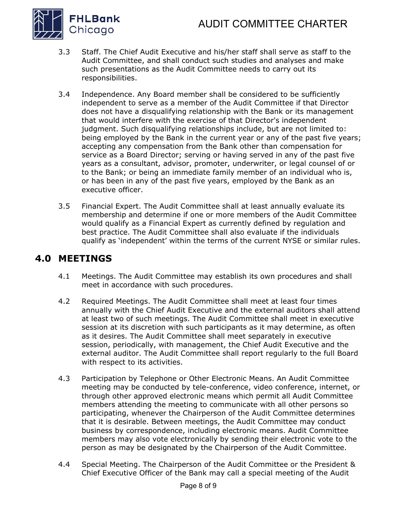# AUDIT COMMITTEE CHARTER



- 3.3 Staff. The Chief Audit Executive and his/her staff shall serve as staff to the Audit Committee, and shall conduct such studies and analyses and make such presentations as the Audit Committee needs to carry out its responsibilities.
- 3.4 Independence. Any Board member shall be considered to be sufficiently independent to serve as a member of the Audit Committee if that Director does not have a disqualifying relationship with the Bank or its management that would interfere with the exercise of that Director's independent judgment. Such disqualifying relationships include, but are not limited to: being employed by the Bank in the current year or any of the past five years; accepting any compensation from the Bank other than compensation for service as a Board Director; serving or having served in any of the past five years as a consultant, advisor, promoter, underwriter, or legal counsel of or to the Bank; or being an immediate family member of an individual who is, or has been in any of the past five years, employed by the Bank as an executive officer.
- 3.5 Financial Expert. The Audit Committee shall at least annually evaluate its membership and determine if one or more members of the Audit Committee would qualify as a Financial Expert as currently defined by regulation and best practice. The Audit Committee shall also evaluate if the individuals qualify as 'independent' within the terms of the current NYSE or similar rules.

#### **4.0 MEETINGS**

- 4.1 Meetings. The Audit Committee may establish its own procedures and shall meet in accordance with such procedures.
- 4.2 Required Meetings. The Audit Committee shall meet at least four times annually with the Chief Audit Executive and the external auditors shall attend at least two of such meetings. The Audit Committee shall meet in executive session at its discretion with such participants as it may determine, as often as it desires. The Audit Committee shall meet separately in executive session, periodically, with management, the Chief Audit Executive and the external auditor. The Audit Committee shall report regularly to the full Board with respect to its activities.
- 4.3 Participation by Telephone or Other Electronic Means. An Audit Committee meeting may be conducted by tele-conference, video conference, internet, or through other approved electronic means which permit all Audit Committee members attending the meeting to communicate with all other persons so participating, whenever the Chairperson of the Audit Committee determines that it is desirable. Between meetings, the Audit Committee may conduct business by correspondence, including electronic means. Audit Committee members may also vote electronically by sending their electronic vote to the person as may be designated by the Chairperson of the Audit Committee.
- 4.4 Special Meeting. The Chairperson of the Audit Committee or the President & Chief Executive Officer of the Bank may call a special meeting of the Audit